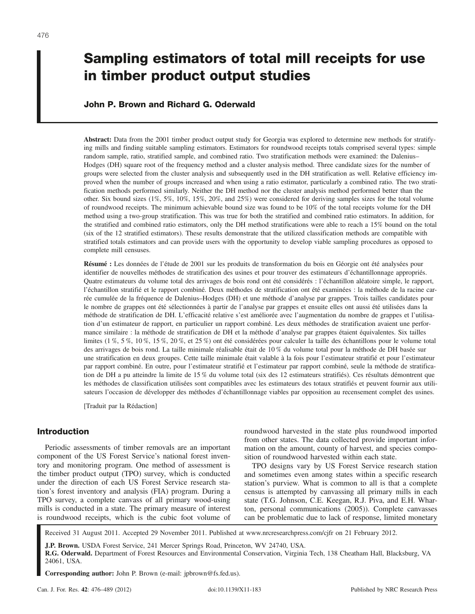# Sampling estimators of total mill receipts for use in timber product output studies

# John P. Brown and Richard G. Oderwald

Abstract: Data from the 2001 timber product output study for Georgia was explored to determine new methods for stratifying mills and finding suitable sampling estimators. Estimators for roundwood receipts totals comprised several types: simple random sample, ratio, stratified sample, and combined ratio. Two stratification methods were examined: the Dalenius– Hodges (DH) square root of the frequency method and a cluster analysis method. Three candidate sizes for the number of groups were selected from the cluster analysis and subsequently used in the DH stratification as well. Relative efficiency improved when the number of groups increased and when using a ratio estimator, particularly a combined ratio. The two stratification methods performed similarly. Neither the DH method nor the cluster analysis method performed better than the other. Six bound sizes (1%, 5%, 10%, 15%, 20%, and 25%) were considered for deriving samples sizes for the total volume of roundwood receipts. The minimum achievable bound size was found to be 10% of the total receipts volume for the DH method using a two-group stratification. This was true for both the stratified and combined ratio estimators. In addition, for the stratified and combined ratio estimators, only the DH method stratifications were able to reach a 15% bound on the total (six of the 12 stratified estimators). These results demonstrate that the utilized classification methods are compatible with stratified totals estimators and can provide users with the opportunity to develop viable sampling procedures as opposed to complete mill censuses.

Résumé : Les données de l'étude de 2001 sur les produits de transformation du bois en Géorgie ont été analysées pour identifier de nouvelles méthodes de stratification des usines et pour trouver des estimateurs d'échantillonnage appropriés. Quatre estimateurs du volume total des arrivages de bois rond ont été considérés : l'échantillon aléatoire simple, le rapport, l'échantillon stratifié et le rapport combiné. Deux méthodes de stratification ont été examinées : la méthode de la racine carrée cumulée de la fréquence de Dalenius–Hodges (DH) et une méthode d'analyse par grappes. Trois tailles candidates pour le nombre de grappes ont été sélectionnées à partir de l'analyse par grappes et ensuite elles ont aussi été utilisées dans la méthode de stratification de DH. L'efficacité relative s'est améliorée avec l'augmentation du nombre de grappes et l'utilisation d'un estimateur de rapport, en particulier un rapport combiné. Les deux méthodes de stratification avaient une performance similaire : la méthode de stratification de DH et la méthode d'analyse par grappes étaient équivalentes. Six tailles limites (1 %, 5 %, 10 %, 15 %, 20 %, et 25 %) ont été considérées pour calculer la taille des échantillons pour le volume total des arrivages de bois rond. La taille minimale réalisable était de 10 % du volume total pour la méthode de DH basée sur une stratification en deux groupes. Cette taille minimale était valable à la fois pour l'estimateur stratifié et pour l'estimateur par rapport combiné. En outre, pour l'estimateur stratifié et l'estimateur par rapport combiné, seule la méthode de stratification de DH a pu atteindre la limite de 15 % du volume total (six des 12 estimateurs stratifiés). Ces résultats démontrent que les méthodes de classification utilisées sont compatibles avec les estimateurs des totaux stratifiés et peuvent fournir aux utilisateurs l'occasion de développer des méthodes d'échantillonnage viables par opposition au recensement complet des usines.

[Traduit par la Rédaction]

# Introduction

Periodic assessments of timber removals are an important component of the US Forest Service's national forest inventory and monitoring program. One method of assessment is the timber product output (TPO) survey, which is conducted under the direction of each US Forest Service research station's forest inventory and analysis (FIA) program. During a TPO survey, a complete canvass of all primary wood-using mills is conducted in a state. The primary measure of interest is roundwood receipts, which is the cubic foot volume of

roundwood harvested in the state plus roundwood imported from other states. The data collected provide important information on the amount, county of harvest, and species composition of roundwood harvested within each state.

TPO designs vary by US Forest Service research station and sometimes even among states within a specific research station's purview. What is common to all is that a complete census is attempted by canvassing all primary mills in each state (T.G. Johnson, C.E. Keegan, R.J. Piva, and E.H. Wharton, personal communications (2005)). Complete canvasses can be problematic due to lack of response, limited monetary

Received 31 August 2011. Accepted 29 November 2011. Published at www.nrcresearchpress.com/cjfr on 21 February 2012.

J.P. Brown. USDA Forest Service, 241 Mercer Springs Road, Princeton, WV 24740, USA.

R.G. Oderwald. Department of Forest Resources and Environmental Conservation, Virginia Tech, 138 Cheatham Hall, Blacksburg, VA 24061, USA.

Corresponding author: John P. Brown (e-mail: jpbrown@fs.fed.us).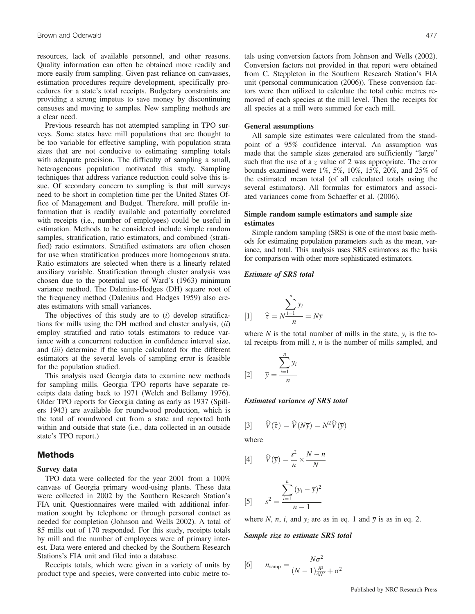resources, lack of available personnel, and other reasons. Quality information can often be obtained more readily and more easily from sampling. Given past reliance on canvasses, estimation procedures require development, specifically procedures for a state's total receipts. Budgetary constraints are providing a strong impetus to save money by discontinuing censuses and moving to samples. New sampling methods are a clear need.

Previous research has not attempted sampling in TPO surveys. Some states have mill populations that are thought to be too variable for effective sampling, with population strata sizes that are not conducive to estimating sampling totals with adequate precision. The difficulty of sampling a small, heterogeneous population motivated this study. Sampling techniques that address variance reduction could solve this issue. Of secondary concern to sampling is that mill surveys need to be short in completion time per the United States Office of Management and Budget. Therefore, mill profile information that is readily available and potentially correlated with receipts (i.e., number of employees) could be useful in estimation. Methods to be considered include simple random samples, stratification, ratio estimators, and combined (stratified) ratio estimators. Stratified estimators are often chosen for use when stratification produces more homogenous strata. Ratio estimators are selected when there is a linearly related auxiliary variable. Stratification through cluster analysis was chosen due to the potential use of Ward's (1963) minimum variance method. The Dalenius-Hodges (DH) square root of the frequency method (Dalenius and Hodges 1959) also creates estimators with small variances.

The objectives of this study are to  $(i)$  develop stratifications for mills using the DH method and cluster analysis,  $(ii)$ employ stratified and ratio totals estimators to reduce variance with a concurrent reduction in confidence interval size, and *(iii)* determine if the sample calculated for the different estimators at the several levels of sampling error is feasible for the population studied.

This analysis used Georgia data to examine new methods for sampling mills. Georgia TPO reports have separate receipts data dating back to 1971 (Welch and Bellamy 1976). Older TPO reports for Georgia dating as early as 1937 (Spillers 1943) are available for roundwood production, which is the total of roundwood cut from a state and reported both within and outside that state (i.e., data collected in an outside state's TPO report.)

# Methods

#### Survey data

TPO data were collected for the year 2001 from a 100% canvass of Georgia primary wood-using plants. These data were collected in 2002 by the Southern Research Station's FIA unit. Questionnaires were mailed with additional information sought by telephone or through personal contact as needed for completion (Johnson and Wells 2002). A total of 85 mills out of 170 responded. For this study, receipts totals by mill and the number of employees were of primary interest. Data were entered and checked by the Southern Research Stations's FIA unit and filed into a database.

Receipts totals, which were given in a variety of units by product type and species, were converted into cubic metre totals using conversion factors from Johnson and Wells (2002). Conversion factors not provided in that report were obtained from C. Steppleton in the Southern Research Station's FIA unit (personal communication (2006)). These conversion factors were then utilized to calculate the total cubic metres removed of each species at the mill level. Then the receipts for all species at a mill were summed for each mill.

#### General assumptions

All sample size estimates were calculated from the standpoint of a 95% confidence interval. An assumption was made that the sample sizes generated are sufficiently "large" such that the use of a z value of 2 was appropriate. The error bounds examined were 1%, 5%, 10%, 15%, 20%, and 25% of the estimated mean total (of all calculated totals using the several estimators). All formulas for estimators and associated variances come from Schaeffer et al. (2006).

## Simple random sample estimators and sample size estimates

Simple random sampling (SRS) is one of the most basic methods for estimating population parameters such as the mean, variance, and total. This analysis uses SRS estimators as the basis for comparison with other more sophisticated estimators.

#### Estimate of SRS total

$$
[1] \qquad \widehat{\tau} = N \frac{\sum_{i=1}^{n} y_i}{n} = N \overline{y}
$$

where N is the total number of mills in the state,  $y_i$  is the total receipts from mill  $i, n$  is the number of mills sampled, and

$$
[2] \qquad \overline{y} = \frac{\sum_{i=1}^{n} y_i}{n}
$$

Estimated variance of SRS total

$$
[3] \qquad \widehat{V}(\widehat{\tau}) = \widehat{V}(N\overline{y}) = N^2 \widehat{V}(\overline{y})
$$

where

$$
[4] \qquad \widehat{V}(\overline{y}) = \frac{s^2}{n} \times \frac{N-n}{N}
$$

[5] 
$$
s^{2} = \frac{\sum_{i=1}^{n} (y_{i} - \overline{y})^{2}}{n-1}
$$

where N, n, i, and  $y_i$  are as in eq. 1 and  $\overline{y}$  is as in eq. 2.

# Sample size to estimate SRS total

[6] 
$$
n_{\text{samp}} = \frac{N\sigma^2}{(N-1)\frac{B^2}{4N^2} + \sigma^2}
$$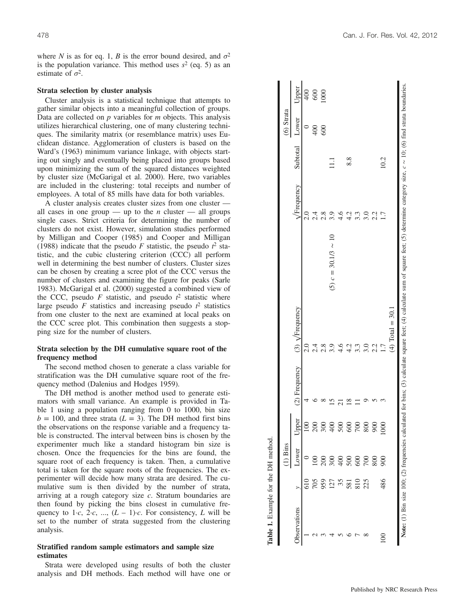where N is as for eq. 1, B is the error bound desired, and  $\sigma^2$ is the population variance. This method uses  $s^2$  (eq. 5) as an estimate of  $\sigma^2$ .

## Strata selection by cluster analysis

Cluster analysis is a statistical technique that attempts to gather similar objects into a meaningful collection of groups. Data are collected on  $p$  variables for  $m$  objects. This analysis utilizes hierarchical clustering, one of many clustering techniques. The similarity matrix (or resemblance matrix) uses Euclidean distance. Agglomeration of clusters is based on the Ward's (1963) minimum variance linkage, with objects starting out singly and eventually being placed into groups based upon minimizing the sum of the squared distances weighted by cluster size (McGarigal et al. 2000). Here, two variables are included in the clustering: total receipts and number of employees. A total of 85 mills have data for both variables.

A cluster analysis creates cluster sizes from one cluster all cases in one group — up to the *n* cluster — all groups single cases. Strict criteria for determining the number of clusters do not exist. However, simulation studies performed by Milligan and Cooper (1985) and Cooper and Milligan (1988) indicate that the pseudo  $\overline{F}$  statistic, the pseudo  $t^2$  statistic, and the cubic clustering criterion (CCC) all perform well in determining the best number of clusters. Cluster sizes can be chosen by creating a scree plot of the CCC versus the number of clusters and examining the figure for peaks (Sarle 1983). McGarigal et al. (2000) suggested a combined view of the CCC, pseudo F statistic, and pseudo  $t^2$  statistic where large pseudo  $F$  statistics and increasing pseudo  $t^2$  statistics from one cluster to the next are examined at local peaks on the CCC scree plot. This combination then suggests a stopping size for the number of clusters.

# Strata selection by the DH cumulative square root of the frequency method

The second method chosen to generate a class variable for stratification was the DH cumulative square root of the frequency method (Dalenius and Hodges 1959).

The DH method is another method used to generate estimators with small variance. An example is provided in Table 1 using a population ranging from 0 to 1000, bin size  $b = 100$ , and three strata ( $L = 3$ ). The DH method first bins the observations on the response variable and a frequency table is constructed. The interval between bins is chosen by the experimenter much like a standard histogram bin size is chosen. Once the frequencies for the bins are found, the square root of each frequency is taken. Then, a cumulative total is taken for the square roots of the frequencies. The experimenter will decide how many strata are desired. The cumulative sum is then divided by the number of strata, arriving at a rough category size c. Stratum boundaries are then found by picking the bins closest in cumulative frequency to 1.*c*, 2.*c*, ...,  $(L - 1)$ .*c*. For consistency, L will be set to the number of strata suggested from the clustering analysis.

# Stratified random sample estimators and sample size estimates

Strata were developed using results of both the cluster analysis and DH methods. Each method will have one or

|              |     | 1) Bins        |       |                 |                           |                          |                     |          | (6) Strata |       |
|--------------|-----|----------------|-------|-----------------|---------------------------|--------------------------|---------------------|----------|------------|-------|
| Observations |     | Lower          | Upper | (2) Frequency   | $(3)$ $\sqrt{F}$ requency |                          | $\sqrt{F}$ requency | Subtotal | Lower      | Upper |
|              | 610 |                | 100   |                 | $\frac{0}{2}$             |                          | $\frac{0}{2}$       |          |            | 400   |
|              | 705 | $\overline{0}$ | 200   |                 | 2.4                       |                          |                     |          | 400        | 600   |
|              | 959 | 200            | 300   | $\infty$        | 2.8                       |                          | 2.8                 |          | 600        | 000   |
|              | 127 | 300            | 400   | $\overline{15}$ | 3.9                       | $(5) c = 30.1/3 \sim 10$ | 3.9                 |          |            |       |
|              | 35  | 400            | 500   | $\overline{c}$  | 4.6                       |                          | 4.6                 |          |            |       |
|              | 581 | 500            | 600   | $\frac{8}{10}$  | 4.2                       |                          | 4.2                 | 8.8      |            |       |
|              | 810 | 600            | 700   | $\Box$          | $3.\overline{3}$          |                          | 3.3                 |          |            |       |
|              | 225 | 700            | 800   | Φ               | 3.0                       |                          | 3.0                 |          |            |       |
|              |     | 800            | 900   |                 | 2.2                       |                          | 2.2                 |          |            |       |
| 100          | 486 | 800            | 1000  | 3               | 1.7                       |                          | 1.7                 | 10.2     |            |       |
|              |     |                |       |                 | (4) Total = 30.1          |                          |                     |          |            |       |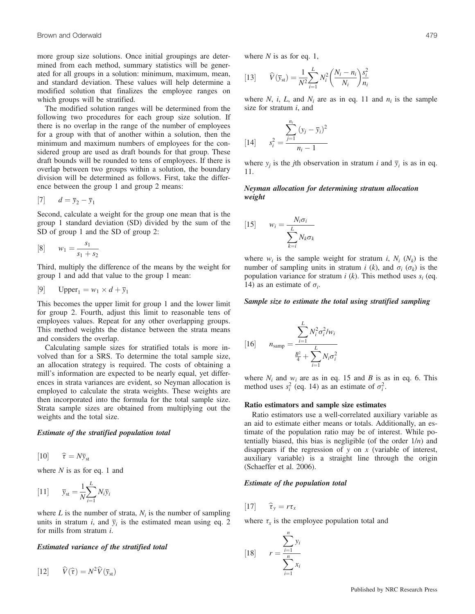more group size solutions. Once initial groupings are determined from each method, summary statistics will be generated for all groups in a solution: minimum, maximum, mean, and standard deviation. These values will help determine a modified solution that finalizes the employee ranges on which groups will be stratified.

The modified solution ranges will be determined from the following two procedures for each group size solution. If there is no overlap in the range of the number of employees for a group with that of another within a solution, then the minimum and maximum numbers of employees for the considered group are used as draft bounds for that group. These draft bounds will be rounded to tens of employees. If there is overlap between two groups within a solution, the boundary division will be determined as follows. First, take the difference between the group 1 and group 2 means:

$$
[7] \qquad d = \overline{y}_2 - \overline{y}_1
$$

Second, calculate a weight for the group one mean that is the group 1 standard deviation (SD) divided by the sum of the SD of group 1 and the SD of group 2:

$$
[8] \qquad w_1 = \frac{s_1}{s_1 + s_2}
$$

Third, multiply the difference of the means by the weight for group 1 and add that value to the group 1 mean:

$$
[9] \qquad \text{Upper}_1 = w_1 \times d + \overline{y}_1
$$

This becomes the upper limit for group 1 and the lower limit for group 2. Fourth, adjust this limit to reasonable tens of employees values. Repeat for any other overlapping groups. This method weights the distance between the strata means and considers the overlap.

Calculating sample sizes for stratified totals is more involved than for a SRS. To determine the total sample size, an allocation strategy is required. The costs of obtaining a mill's information are expected to be nearly equal, yet differences in strata variances are evident, so Neyman allocation is employed to calculate the strata weights. These weights are then incorporated into the formula for the total sample size. Strata sample sizes are obtained from multiplying out the weights and the total size.

## Estimate of the stratified population total

$$
[10] \qquad \widehat{\tau} = N \overline{y}_{st}
$$

where  $N$  is as for eq. 1 and

$$
[11] \qquad \overline{y}_{st} = \frac{1}{N} \sum_{i=1}^{L} N_i \overline{y}_i
$$

where  $L$  is the number of strata,  $N_i$  is the number of sampling units in stratum *i*, and  $\overline{y}_i$  is the estimated mean using eq. 2 for mills from stratum i.

## Estimated variance of the stratified total

$$
[12] \qquad \widehat{V}(\widehat{\tau}) = N^2 \widehat{V}(\overline{y}_{st})
$$

where  $N$  is as for eq. 1,

$$
[13] \qquad \widehat{V}(\overline{y}_{st}) = \frac{1}{N^2} \sum_{i=1}^{L} N_i^2 \left(\frac{N_i - n_i}{N_i}\right) \frac{s_i^2}{n_i}
$$

where N, i, L, and  $N_i$  are as in eq. 11 and  $n_i$  is the sample size for stratum  $i$ , and

14] 
$$
s_i^2 = \frac{\sum_{j=1}^{n_i} (y_j - \overline{y}_i)^2}{n_i - 1}
$$

½14-

where  $y_i$  is the jth observation in stratum i and  $\overline{y}_i$  is as in eq. 11.

# Neyman allocation for determining stratum allocation weight

$$
\begin{aligned} \begin{bmatrix} 15 \end{bmatrix} \qquad w_i = \frac{N_i \sigma_i}{\sum_{k=i}^{L} N_k \sigma_k} \end{aligned}
$$

where  $w_i$  is the sample weight for stratum i,  $N_i$  ( $N_k$ ) is the number of sampling units in stratum i (k), and  $\sigma_i$  ( $\sigma_k$ ) is the population variance for stratum i  $(k)$ . This method uses  $s_i$  (eq. 14) as an estimate of  $\sigma_i$ .

# Sample size to estimate the total using stratified sampling

[16] 
$$
n_{\text{samp}} = \frac{\sum_{i=1}^{L} N_i^2 \sigma_i^2 / w_i}{\frac{B^2}{4} + \sum_{i=1}^{L} N_i \sigma_i^2}
$$

where  $N_i$  and  $w_i$  are as in eq. 15 and B is as in eq. 6. This method uses  $s_i^2$  (eq. 14) as an estimate of  $\sigma_i^2$ .

# Ratio estimators and sample size estimates

Ratio estimators use a well-correlated auxiliary variable as an aid to estimate either means or totals. Additionally, an estimate of the population ratio may be of interest. While potentially biased, this bias is negligible (of the order  $1/n$ ) and disappears if the regression of  $y$  on  $x$  (variable of interest, auxiliary variable) is a straight line through the origin (Schaeffer et al. 2006).

#### Estimate of the population total

$$
[17] \qquad \widehat{\tau}_y = r\tau_x
$$

where  $\tau_x$  is the employee population total and

$$
[18] \qquad r = \frac{\sum_{i=1}^{n} y_i}{\sum_{i=1}^{n} x_i}
$$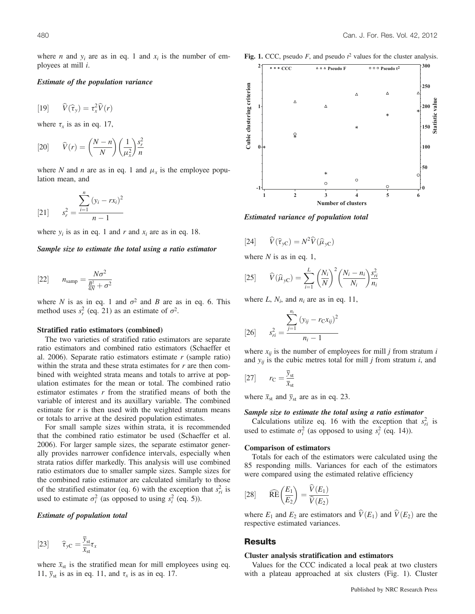where *n* and  $y_i$  are as in eq. 1 and  $x_i$  is the number of employees at mill i.

# Estimate of the population variance

$$
[19] \qquad \widehat{V}(\widehat{\tau}_y) = \tau_x^2 \widehat{V}(r)
$$

where  $\tau_x$  is as in eq. 17,

$$
[20] \qquad \widehat{V}(r) = \left(\frac{N-n}{N}\right) \left(\frac{1}{\mu_x^2}\right) \frac{s_r^2}{n}
$$

where N and n are as in eq. 1 and  $\mu_x$  is the employee population mean, and

[21] 
$$
s_r^2 = \frac{\sum_{i=1}^n (y_i - rx_i)^2}{n-1}
$$

where  $y_i$  is as in eq. 1 and r and  $x_i$  are as in eq. 18.

#### Sample size to estimate the total using a ratio estimator

$$
[22] \qquad n_{\text{samp}} = \frac{N\sigma^2}{\frac{B^2}{4N} + \sigma^2}
$$

where N is as in eq. 1 and  $\sigma^2$  and B are as in eq. 6. This method uses  $s_r^2$  (eq. 21) as an estimate of  $\sigma^2$ .

#### Stratified ratio estimators (combined)

The two varieties of stratified ratio estimators are separate ratio estimators and combined ratio estimators (Schaeffer et al. 2006). Separate ratio estimators estimate  $r$  (sample ratio) within the strata and these strata estimates for  $r$  are then combined with weighted strata means and totals to arrive at population estimates for the mean or total. The combined ratio estimator estimates  $r$  from the stratified means of both the variable of interest and its auxillary variable. The combined estimate for  $r$  is then used with the weighted stratum means or totals to arrive at the desired population estimates.

For small sample sizes within strata, it is recommended that the combined ratio estimator be used (Schaeffer et al. 2006). For larger sample sizes, the separate estimator generally provides narrower confidence intervals, especially when strata ratios differ markedly. This analysis will use combined ratio estimators due to smaller sample sizes. Sample sizes for the combined ratio estimator are calculated similarly to those of the stratified estimator (eq. 6) with the exception that  $s_{ri}^2$  is used to estimate  $\sigma_i^2$  (as opposed to using  $s_i^2$  (eq. 5)).

# Estimate of population total

$$
[23] \qquad \widehat{\tau}_{yC} = \frac{\overline{y}_{st}}{\overline{x}_{st}} \tau_x
$$

where  $\bar{x}_{st}$  is the stratified mean for mill employees using eq. 11,  $\bar{y}_{st}$  is as in eq. 11, and  $\tau_x$  is as in eq. 17.



Estimated variance of population total

$$
[24] \qquad \widehat{V}(\widehat{\tau}_{yC}) = N^2 \widehat{V}(\widehat{\mu}_{yC})
$$

where  $N$  is as in eq. 1,

$$
[25] \qquad \widehat{V}(\widehat{\mu}_{yC}) = \sum_{i=1}^{L} \left(\frac{N_i}{N}\right)^2 \left(\frac{N_i - n_i}{N_i}\right) \frac{s_{ri}^2}{n_i}
$$

where  $L, N_i$ , and  $n_i$  are as in eq. 11,

$$
[26] \qquad s_{ri}^{2} = \frac{\sum_{j=1}^{n_i} (y_{ij} - r_{\text{C}}x_{ij})^{2}}{n_i - 1}
$$

where  $x_{ij}$  is the number of employees for mill j from stratum i and  $y_{ij}$  is the cubic metres total for mill *j* from stratum *i*, and

$$
[27] \qquad r_{\rm C} = \frac{\overline{y}_{\rm st}}{\overline{x}_{\rm st}}
$$

where  $\bar{x}_{st}$  and  $\bar{y}_{st}$  are as in eq. 23.

#### Sample size to estimate the total using a ratio estimator

Calculations utilize eq. 16 with the exception that  $s_{ri}^2$  is used to estimate  $\sigma_i^2$  (as opposed to using  $s_i^2$  (eq. 14)).

#### Comparison of estimators

Totals for each of the estimators were calculated using the 85 responding mills. Variances for each of the estimators were compared using the estimated relative efficiency

$$
[28] \qquad \widehat{\text{RE}}\left(\frac{E_1}{E_2}\right) = \frac{\widehat{V}(E_1)}{\widehat{V}(E_2)}
$$

where  $E_1$  and  $E_2$  are estimators and  $\hat{V}(E_1)$  and  $\hat{V}(E_2)$  are the respective estimated variances.

# Results

#### Cluster analysis stratification and estimators

Values for the CCC indicated a local peak at two clusters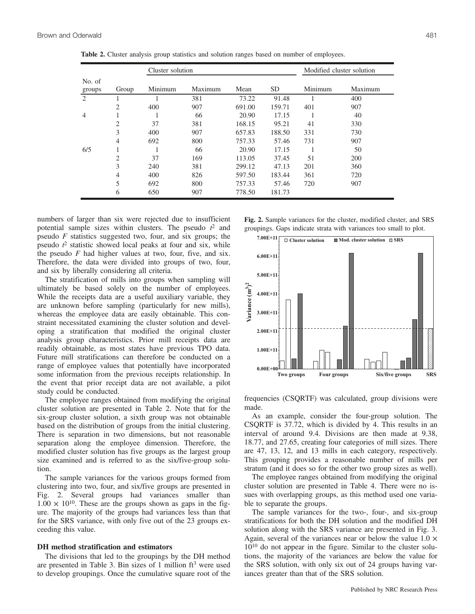|                |                | Cluster solution |         |        |           | Modified cluster solution |         |
|----------------|----------------|------------------|---------|--------|-----------|---------------------------|---------|
| No. of         |                |                  |         |        |           |                           |         |
| groups         | Group          | Minimum          | Maximum | Mean   | <b>SD</b> | Minimum                   | Maximum |
| 2              | 1              | ı                | 381     | 73.22  | 91.48     |                           | 400     |
|                | $\overline{c}$ | 400              | 907     | 691.00 | 159.71    | 401                       | 907     |
| $\overline{4}$ | -1             |                  | 66      | 20.90  | 17.15     |                           | 40      |
|                | 2              | 37               | 381     | 168.15 | 95.21     | 41                        | 330     |
|                | 3              | 400              | 907     | 657.83 | 188.50    | 331                       | 730     |
|                | $\overline{4}$ | 692              | 800     | 757.33 | 57.46     | 731                       | 907     |
| 6/5            | 1              |                  | 66      | 20.90  | 17.15     |                           | 50      |
|                | $\overline{c}$ | 37               | 169     | 113.05 | 37.45     | 51                        | 200     |
|                | 3              | 240              | 381     | 299.12 | 47.13     | 201                       | 360     |
|                | 4              | 400              | 826     | 597.50 | 183.44    | 361                       | 720     |
|                | 5              | 692              | 800     | 757.33 | 57.46     | 720                       | 907     |
|                | 6              | 650              | 907     | 778.50 | 181.73    |                           |         |

Table 2. Cluster analysis group statistics and solution ranges based on number of employees.

numbers of larger than six were rejected due to insufficient potential sample sizes within clusters. The pseudo  $t^2$  and pseudo  $F$  statistics suggested two, four, and six groups; the pseudo  $t^2$  statistic showed local peaks at four and six, while the pseudo  $F$  had higher values at two, four, five, and six. Therefore, the data were divided into groups of two, four, and six by liberally considering all criteria.

The stratification of mills into groups when sampling will ultimately be based solely on the number of employees. While the receipts data are a useful auxiliary variable, they are unknown before sampling (particularly for new mills), whereas the employee data are easily obtainable. This constraint necessitated examining the cluster solution and developing a stratification that modified the original cluster analysis group characteristics. Prior mill receipts data are readily obtainable, as most states have previous TPO data. Future mill stratifications can therefore be conducted on a range of employee values that potentially have incorporated some information from the previous receipts relationship. In the event that prior receipt data are not available, a pilot study could be conducted.

The employee ranges obtained from modifying the original cluster solution are presented in Table 2. Note that for the six-group cluster solution, a sixth group was not obtainable based on the distribution of groups from the initial clustering. There is separation in two dimensions, but not reasonable separation along the employee dimension. Therefore, the modified cluster solution has five groups as the largest group size examined and is referred to as the six/five-group solution.

The sample variances for the various groups formed from clustering into two, four, and six/five groups are presented in Fig. 2. Several groups had variances smaller than  $1.00 \times 10^{10}$ . These are the groups shown as gaps in the figure. The majority of the groups had variances less than that for the SRS variance, with only five out of the 23 groups exceeding this value.

## DH method stratification and estimators

The divisions that led to the groupings by the DH method are presented in Table 3. Bin sizes of 1 million  $ft^3$  were used to develop groupings. Once the cumulative square root of the

Fig. 2. Sample variances for the cluster, modified cluster, and SRS groupings. Gaps indicate strata with variances too small to plot.



frequencies (CSQRTF) was calculated, group divisions were made.

As an example, consider the four-group solution. The CSQRTF is 37.72, which is divided by 4. This results in an interval of around 9.4. Divisions are then made at 9.38, 18.77, and 27.65, creating four categories of mill sizes. There are 47, 13, 12, and 13 mills in each category, respectively. This grouping provides a reasonable number of mills per stratum (and it does so for the other two group sizes as well).

The employee ranges obtained from modifying the original cluster solution are presented in Table 4. There were no issues with overlapping groups, as this method used one variable to separate the groups.

The sample variances for the two-, four-, and six-group stratifications for both the DH solution and the modified DH solution along with the SRS variance are presented in Fig. 3. Again, several of the variances near or below the value  $1.0 \times$  $10^{10}$  do not appear in the figure. Similar to the cluster solutions, the majority of the variances are below the value for the SRS solution, with only six out of 24 groups having variances greater than that of the SRS solution.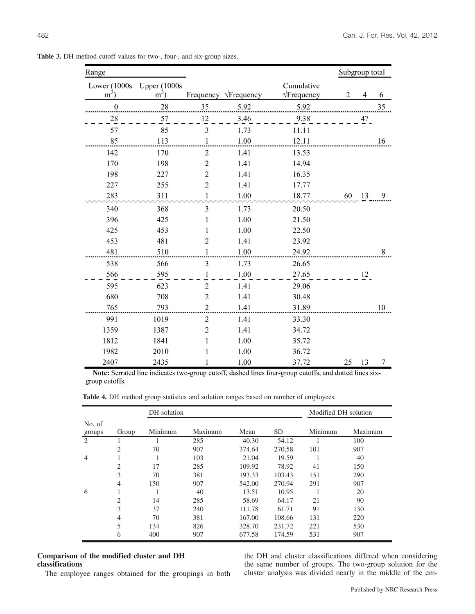| Range                          |                                |                   |                     |                                   | Subgroup total |                          |    |
|--------------------------------|--------------------------------|-------------------|---------------------|-----------------------------------|----------------|--------------------------|----|
| Lower (1000s<br>m <sup>3</sup> | Upper (1000s<br>m <sup>3</sup> | Frequency         | $\sqrt{F}$ requency | Cumulative<br>$\sqrt{F}$ requency | $\mathbf{2}$   | $\overline{\mathcal{A}}$ | 6  |
| $\boldsymbol{0}$               | 28                             | 35                | 5.92                | 5.92                              |                |                          | 35 |
| 28                             | 57                             | 12                | 3.46                | 9.38                              |                | 47                       |    |
| 57                             | 85                             | 3                 | 1.73                | 11.11                             |                |                          |    |
| 85                             | 113                            | 1                 | 1.00                | 12.11                             |                |                          | 16 |
| 142                            | 170                            | $\overline{c}$    | 1.41                | 13.53                             |                |                          |    |
| 170                            | 198                            | $\overline{c}$    | 1.41                | 14.94                             |                |                          |    |
| 198                            | 227                            | $\overline{c}$    | 1.41                | 16.35                             |                |                          |    |
| 227                            | 255                            | $\overline{c}$    | 1.41                | 17.77                             |                |                          |    |
| 283                            | 311                            | 1                 | 1.00                | 18.77                             | 60             | 13                       | 9  |
| 340                            | 368                            | 3                 | 1.73                | 20.50                             |                |                          |    |
| 396                            | 425                            | 1                 | 1.00                | 21.50                             |                |                          |    |
| 425                            | 453                            | 1                 | 1.00                | 22.50                             |                |                          |    |
| 453                            | 481                            | $\overline{2}$    | 1.41                | 23.92                             |                |                          |    |
| 481                            | 510                            | $\mathbf{1}$      | 1.00                | 24.92                             |                |                          | 8  |
| 538                            | 566                            | 3                 | 1.73                | 26.65                             |                |                          |    |
| 566                            | 595                            | 1                 | 1.00                | 27.65                             |                | 12                       |    |
| 595                            | 623                            | $\overline{c}$    | 1.41                | 29.06                             |                |                          |    |
| 680                            | 708                            | $\overline{c}$    | 1.41                | 30.48                             |                |                          |    |
| 765                            | 793                            | $\frac{2}{\cdot}$ | 1.41                | 31.89                             |                |                          | 10 |
| 991                            | 1019                           | $\mathbf{2}$      | 1.41                | 33.30                             |                |                          |    |
| 1359                           | 1387                           | $\overline{c}$    | 1.41                | 34.72                             |                |                          |    |
| 1812                           | 1841                           | 1                 | 1.00                | 35.72                             |                |                          |    |
| 1982                           | 2010                           | 1                 | 1.00                | 36.72                             |                |                          |    |
| 2407                           | 2435                           | $\mathbf{1}$      | 1.00                | 37.72                             | 25             | 13                       | 7  |

Table 3. DH method cutoff values for two-, four-, and six-group sizes.

Note: Serrated line indicates two-group cutoff, dashed lines four-group cutoffs, and dotted lines sixgroup cutoffs.

Table 4. DH method group statistics and solution ranges based on number of employees.

|        |                | DH solution |         |        |           | Modified DH solution |         |
|--------|----------------|-------------|---------|--------|-----------|----------------------|---------|
| No. of |                |             |         |        |           |                      |         |
| groups | Group          | Minimum     | Maximum | Mean   | <b>SD</b> | Minimum              | Maximum |
| 2      |                |             | 285     | 40.30  | 54.12     |                      | 100     |
|        | 2              | 70          | 907     | 374.64 | 270.58    | 101                  | 907     |
| 4      |                |             | 103     | 21.04  | 19.59     |                      | 40      |
|        | $\overline{c}$ | 17          | 285     | 109.92 | 78.92     | 41                   | 150     |
|        | 3              | 70          | 381     | 193.33 | 103.43    | 151                  | 290     |
|        | $\overline{4}$ | 150         | 907     | 542.00 | 270.94    | 291                  | 907     |
| 6      |                |             | 40      | 13.51  | 10.95     |                      | 20      |
|        | 2              | 14          | 285     | 58.69  | 64.17     | 21                   | 90      |
|        | 3              | 37          | 240     | 111.78 | 61.71     | 91                   | 130     |
|        | $\overline{4}$ | 70          | 381     | 167.00 | 108.66    | 131                  | 220     |
|        | 5              | 134         | 826     | 328.70 | 231.72    | 221                  | 530     |
|        | 6              | 400         | 907     | 677.58 | 174.59    | 531                  | 907     |

# Comparison of the modified cluster and DH classifications

The employee ranges obtained for the groupings in both

the DH and cluster classifications differed when considering the same number of groups. The two-group solution for the cluster analysis was divided nearly in the middle of the em-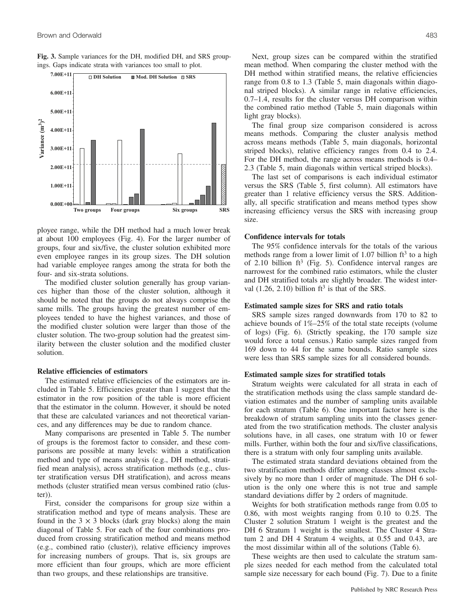

Fig. 3. Sample variances for the DH, modified DH, and SRS groupings. Gaps indicate strata with variances too small to plot.

ployee range, while the DH method had a much lower break at about 100 employees (Fig. 4). For the larger number of groups, four and six/five, the cluster solution exhibited more even employee ranges in its group sizes. The DH solution had variable employee ranges among the strata for both the four- and six-strata solutions.

The modified cluster solution generally has group variances higher than those of the cluster solution, although it should be noted that the groups do not always comprise the same mills. The groups having the greatest number of employees tended to have the highest variances, and those of the modified cluster solution were larger than those of the cluster solution. The two-group solution had the greatest similarity between the cluster solution and the modified cluster solution.

# Relative efficiencies of estimators

The estimated relative efficiencies of the estimators are included in Table 5. Efficiencies greater than 1 suggest that the estimator in the row position of the table is more efficient that the estimator in the column. However, it should be noted that these are calculated variances and not theoretical variances, and any differences may be due to random chance.

Many comparisons are presented in Table 5. The number of groups is the foremost factor to consider, and these comparisons are possible at many levels: within a stratification method and type of means analysis (e.g., DH method, stratified mean analysis), across stratification methods (e.g., cluster stratification versus DH stratification), and across means methods (cluster stratified mean versus combined ratio (cluster)).

First, consider the comparisons for group size within a stratification method and type of means analysis. These are found in the  $3 \times 3$  blocks (dark gray blocks) along the main diagonal of Table 5. For each of the four combinations produced from crossing stratification method and means method (e.g., combined ratio (cluster)), relative efficiency improves for increasing numbers of groups. That is, six groups are more efficient than four groups, which are more efficient than two groups, and these relationships are transitive.

Next, group sizes can be compared within the stratified mean method. When comparing the cluster method with the DH method within stratified means, the relative efficiencies range from 0.8 to 1.3 (Table 5, main diagonals within diagonal striped blocks). A similar range in relative efficiencies, 0.7–1.4, results for the cluster versus DH comparison within the combined ratio method (Table 5, main diagonals within light gray blocks).

The final group size comparison considered is across means methods. Comparing the cluster analysis method across means methods (Table 5, main diagonals, horizontal striped blocks), relative efficiency ranges from 0.4 to 2.4. For the DH method, the range across means methods is 0.4– 2.3 (Table 5, main diagonals within vertical striped blocks).

The last set of comparisons is each individual estimator versus the SRS (Table 5, first column). All estimators have greater than 1 relative efficiency versus the SRS. Additionally, all specific stratification and means method types show increasing efficiency versus the SRS with increasing group size.

# Confidence intervals for totals

The 95% confidence intervals for the totals of the various methods range from a lower limit of 1.07 billion  $ft^3$  to a high of 2.10 billion  $ft^3$  (Fig. 5). Confidence interval ranges are narrowest for the combined ratio estimators, while the cluster and DH stratified totals are slightly broader. The widest interval  $(1.26, 2.10)$  billion ft<sup>3</sup> is that of the SRS.

# Estimated sample sizes for SRS and ratio totals

SRS sample sizes ranged downwards from 170 to 82 to achieve bounds of 1%–25% of the total state receipts (volume of logs) (Fig. 6). (Strictly speaking, the 170 sample size would force a total census.) Ratio sample sizes ranged from 169 down to 44 for the same bounds. Ratio sample sizes were less than SRS sample sizes for all considered bounds.

## Estimated sample sizes for stratified totals

Stratum weights were calculated for all strata in each of the stratification methods using the class sample standard deviation estimates and the number of sampling units available for each stratum (Table 6). One important factor here is the breakdown of stratum sampling units into the classes generated from the two stratification methods. The cluster analysis solutions have, in all cases, one stratum with 10 or fewer mills. Further, within both the four and six/five classifications, there is a stratum with only four sampling units available.

The estimated strata standard deviations obtained from the two stratification methods differ among classes almost exclusively by no more than 1 order of magnitude. The DH 6 solution is the only one where this is not true and sample standard deviations differ by 2 orders of magnitude.

Weights for both stratification methods range from 0.05 to 0.86, with most weights ranging from 0.10 to 0.25. The Cluster 2 solution Stratum 1 weight is the greatest and the DH 6 Stratum 1 weight is the smallest. The Cluster 4 Stratum 2 and DH 4 Stratum 4 weights, at 0.55 and 0.43, are the most dissimilar within all of the solutions (Table 6).

These weights are then used to calculate the stratum sample sizes needed for each method from the calculated total sample size necessary for each bound (Fig. 7). Due to a finite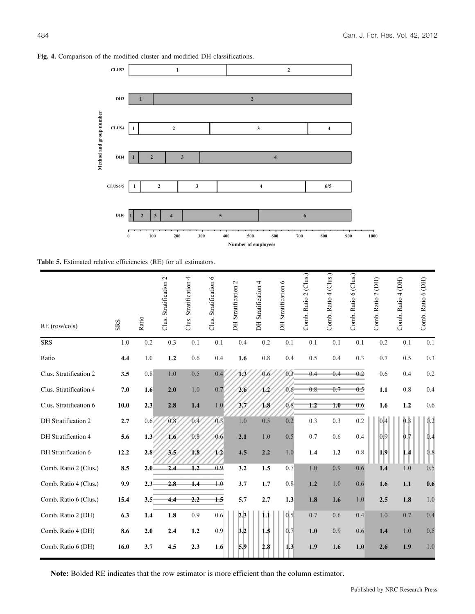

Fig. 4. Comparison of the modified cluster and modified DH classifications.

Table 5. Estimated relative efficiencies (RE) for all estimators.

| RE (row/cols)          | SRS  | Ratio   | Stratification 2<br>Clus. | 4<br>Stratification<br>Clus. | Clus. Stratification 6 | Stratification 2<br>DН | DH Stratification 4 | DH Stratification 6 | Comb. Ratio 2 (Clus.) | Comb. Ratio 4 (Clus.) | Comb. Ratio 6 (Clus.) | Comb. Ratio 2 (DH) | Comb. Ratio 4 (DH) | Comb. Ratio 6 (DH) |
|------------------------|------|---------|---------------------------|------------------------------|------------------------|------------------------|---------------------|---------------------|-----------------------|-----------------------|-----------------------|--------------------|--------------------|--------------------|
| <b>SRS</b>             | 1.0  | 0.2     | 0.3                       | 0.1                          | 0.1                    | 0.4                    | 0.2                 | 0.1                 | 0.1                   | 0.1                   | 0.1                   | 0.2                | 0.1                | 0.1                |
| Ratio                  | 4.4  | 1.0     | 1.2                       | 0.6                          | 0.4                    | 1.6                    | 0.8                 | 0.4                 | 0.5                   | 0.4                   | 0.3                   | 0.7                | 0.5                | 0.3                |
| Clus. Stratification 2 | 3.5  | $0.8\,$ | 1.0                       | 0.5                          | 0.4                    | 13                     | 0.6                 | 0.3                 | 0.4                   | 0.4                   | 0.2                   | 0.6                | 0.4                | 0.2                |
| Clus. Stratification 4 | 7.0  | 1.6     | 2.0                       | $1.0\,$                      | 0.7                    | 2.6                    | 1.2                 | 0.6 <sub>0</sub>    | 0.8                   | 0.7                   | 0.5                   | 1.1                | 0.8                | 0.4                |
| Clus. Stratification 6 | 10.0 | 2.3     | 2.8                       | 1.4                          | 1.0                    | 3.7                    | 1.8                 | $0.8^{\circ}$       | 1.2                   | 1.0                   | 0.6                   | 1.6                | 1.2                | 0.6                |
| DH Stratification 2    | 2.7  | 0.6     | 0.8                       | 0.4                          | 0.3                    | 1.0                    | 0.5                 | 0.2                 | 0.3                   | 0.3                   | 0.2                   | 0.4                | O.B                | 0.2                |
| DH Stratification 4    | 5.6  | 1.3     | 1.6                       | 0.8                          | 0.6                    | 2.1                    | 1.0                 | 0.5                 | 0.7                   | 0.6                   | 0.4                   | 0.9                | 0.7                | 0.4                |
| DH Stratification 6    | 12.2 | 2.8     | 3.5                       | 1.8                          | 1.2                    | 4.5                    | 2.2                 | 1.0                 | 1.4                   | 1.2                   | 0.8                   | 1.9                |                    | 0.8                |
| Comb. Ratio 2 (Clus.)  | 8.5  | 2.0     | 2.4                       | 1.2                          | 0.9                    | 3.2                    | 1.5                 | 0.7                 | 1.0                   | 0.9                   | 0.6                   | 1.4                | 1.0                | 0.5                |
| Comb. Ratio 4 (Clus.)  | 9.9  | 2.3     | 2.8                       | 1.4                          | $+0$                   | 3.7                    | 1.7                 | 0.8                 | 1.2                   | 1.0                   | 0.6                   | 1.6                | 1.1                | 0.6                |
| Comb. Ratio 6 (Clus.)  | 15.4 | 3.5     | 4.4                       | 2.2                          | 1.5                    | 5.7                    | 2.7                 | 1.3                 | 1.8                   | 1.6                   | 1.0                   | 2.5                | 1.8                | 1.0                |
| Comb. Ratio 2 (DH)     | 6.3  | 1.4     | 1.8                       | 0.9                          | 0.6                    | 2.3                    | 1.1                 | 0.5                 | 0.7                   | 0.6                   | 0.4                   | 1.0                | 0.7                | 0.4                |
| Comb. Ratio 4 (DH)     | 8.6  | 2.0     | 2.4                       | 1.2                          | 0.9                    | 3.2                    | .5<br>1             | 0.7                 | 1.0                   | 0.9                   | 0.6                   | 1.4                | 1.0                | 0.5                |
| Comb. Ratio 6 (DH)     | 16.0 | 3.7     | 4.5                       | 2.3                          | 1.6                    | 5.9                    | 2.8                 | 1,3                 | 1.9                   | 1.6                   | 1.0                   | 2.6                | 1.9                | 1.0                |

Note: Bolded RE indicates that the row estimator is more efficient than the column estimator.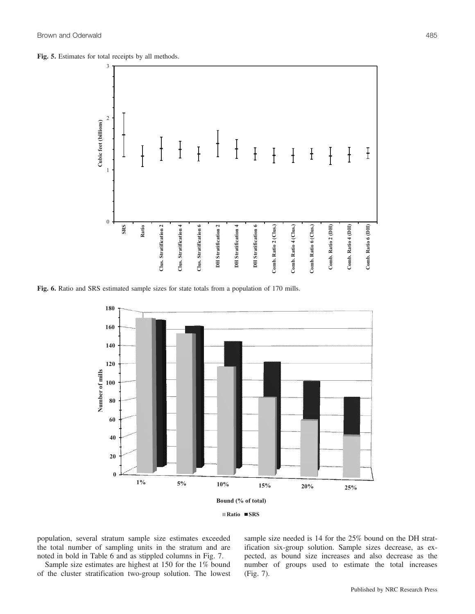Fig. 5. Estimates for total receipts by all methods.



Fig. 6. Ratio and SRS estimated sample sizes for state totals from a population of 170 mills.



**Ratio SRS**

population, several stratum sample size estimates exceeded the total number of sampling units in the stratum and are noted in bold in Table 6 and as stippled columns in Fig. 7.

Sample size estimates are highest at 150 for the 1% bound of the cluster stratification two-group solution. The lowest

sample size needed is 14 for the 25% bound on the DH stratification six-group solution. Sample sizes decrease, as expected, as bound size increases and also decrease as the number of groups used to estimate the total increases (Fig. 7).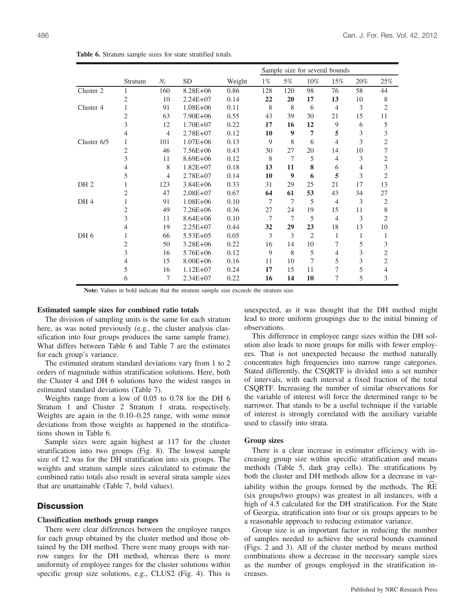|                                                   |                |                |              |        | Sample size for several bounds | 20%<br>58<br>44<br>10<br>8<br>3<br>$\overline{2}$<br>15<br>11<br>5<br>6<br>3<br>3<br>3<br>2<br>7<br>10<br>3<br>$\overline{c}$<br>3<br>4<br>3<br>$\overline{2}$<br>17<br>13<br>27<br>34<br>3<br>$\overline{2}$<br>8<br>11<br>$\overline{c}$<br>3 |                |     |    |     |  |
|---------------------------------------------------|----------------|----------------|--------------|--------|--------------------------------|-------------------------------------------------------------------------------------------------------------------------------------------------------------------------------------------------------------------------------------------------|----------------|-----|----|-----|--|
|                                                   | Stratum        | $N_i$          | <b>SD</b>    | Weight | $1\%$                          | 5%                                                                                                                                                                                                                                              | 10%            | 15% |    | 25% |  |
| Cluster 2                                         | 1              | 160            | $8.28E + 06$ | 0.86   | 128                            | 120                                                                                                                                                                                                                                             | 98             | 76  |    |     |  |
|                                                   | 2              | 10             | $2.24E + 07$ | 0.14   | 22                             | 20                                                                                                                                                                                                                                              | 17             | 13  |    |     |  |
| Cluster 4                                         | 1              | 91             | $1.08E + 06$ | 0.11   | 8                              | 8                                                                                                                                                                                                                                               | 6              | 4   |    |     |  |
|                                                   | 2              | 63             | $7.90E + 06$ | 0.55   | 43                             | 39                                                                                                                                                                                                                                              | 30             | 21  |    |     |  |
| Cluster 6/5<br>DH <sub>2</sub><br>DH <sub>4</sub> | 3              | 12             | $1.70E + 07$ | 0.22   | 17                             | 16                                                                                                                                                                                                                                              | 12             | 9   |    |     |  |
|                                                   | 4              | $\overline{4}$ | $2.78E + 07$ | 0.12   | 10                             | $\boldsymbol{9}$                                                                                                                                                                                                                                | $\overline{7}$ | 5   |    |     |  |
|                                                   | 1              | 101            | $1.07E + 06$ | 0.13   | 9                              | 8                                                                                                                                                                                                                                               | 6              | 4   |    |     |  |
|                                                   | $\mathfrak{2}$ | 46             | $7.56E + 06$ | 0.43   | 30                             | 27                                                                                                                                                                                                                                              | 20             | 14  |    |     |  |
|                                                   | 3              | 11             | $8.69E + 06$ | 0.12   | 8                              | 7                                                                                                                                                                                                                                               | 5              | 4   |    |     |  |
|                                                   | 4              | 8              | $1.82E + 07$ | 0.18   | 13                             | 11                                                                                                                                                                                                                                              | 8              | 6   |    |     |  |
|                                                   | 5              | $\overline{4}$ | $2.78E + 07$ | 0.14   | 10                             | $\boldsymbol{9}$                                                                                                                                                                                                                                | 6              | 5   |    |     |  |
|                                                   | 1              | 123            | $3.84E + 06$ | 0.33   | 31                             | 29                                                                                                                                                                                                                                              | 25             | 21  |    |     |  |
|                                                   | $\overline{2}$ | 47             | $2.08E + 07$ | 0.67   | 64                             | 61                                                                                                                                                                                                                                              | 53             | 43  |    |     |  |
|                                                   | 1              | 91             | $1.08E + 06$ | 0.10   | 7                              | $\tau$                                                                                                                                                                                                                                          | 5              | 4   |    |     |  |
|                                                   | 2              | 49             | $7.26E + 06$ | 0.36   | 27                             | 24                                                                                                                                                                                                                                              | 19             | 15  |    |     |  |
|                                                   | 3              | 11             | $8.64E + 06$ | 0.10   | 7                              | 7                                                                                                                                                                                                                                               | 5              | 4   |    |     |  |
|                                                   | 4              | 19             | $2.25E + 07$ | 0.44   | 32                             | 29                                                                                                                                                                                                                                              | 23             | 18  | 13 | 10  |  |
| DH 6                                              | 1              | 66             | $5.53E + 05$ | 0.05   | 3                              | 3                                                                                                                                                                                                                                               | $\overline{2}$ | 1   | 1  | 1   |  |
|                                                   | 2              | 50             | $3.28E + 06$ | 0.22   | 16                             | 14                                                                                                                                                                                                                                              | 10             | 7   | 5  | 3   |  |
|                                                   | 3              | 16             | $5.76E + 06$ | 0.12   | 9                              | 8                                                                                                                                                                                                                                               | 5              | 4   | 3  | 2   |  |
|                                                   | 4              | 15             | $8.00E + 06$ | 0.16   | 11                             | 10                                                                                                                                                                                                                                              | 7              | 5   | 3  | 2   |  |
|                                                   | 5              | 16             | $1.12E + 07$ | 0.24   | 17                             | 15                                                                                                                                                                                                                                              | 11             | 7   | 5  | 4   |  |
|                                                   | 6              | 7              | $2.34E + 07$ | 0.22   | 16                             | 14                                                                                                                                                                                                                                              | 10             | 7   | 5  | 3   |  |

Table 6. Stratum sample sizes for state stratified totals.

Note: Values in bold indicate that the stratum sample size exceeds the stratum size.

#### Estimated sample sizes for combined ratio totals

The division of sampling units is the same for each stratum here, as was noted previously (e.g., the cluster analysis classification into four groups produces the same sample frame). What differs between Table 6 and Table 7 are the estimates for each group's variance.

The estimated stratum standard deviations vary from 1 to 2 orders of magnitude within stratification solutions. Here, both the Cluster 4 and DH 6 solutions have the widest ranges in estimated standard deviations (Table 7).

Weights range from a low of 0.05 to 0.78 for the DH 6 Stratum 1 and Cluster 2 Stratum 1 strata, respectively. Weights are again in the 0.10–0.25 range, with some minor deviations from those weights as happened in the stratifications shown in Table 6.

Sample sizes were again highest at 117 for the cluster stratification into two groups (Fig. 8). The lowest sample size of 12 was for the DH stratification into six groups. The weights and stratum sample sizes calculated to estimate the combined ratio totals also result in several strata sample sizes that are unattainable (Table 7, bold values).

# **Discussion**

# Classification methods group ranges

There were clear differences between the employee ranges for each group obtained by the cluster method and those obtained by the DH method. There were many groups with narrow ranges for the DH method, whereas there is more uniformity of employee ranges for the cluster solutions within specific group size solutions, e.g., CLUS2 (Fig. 4). This is unexpected, as it was thought that the DH method might lead to more uniform groupings due to the initial binning of observations.

This difference in employee range sizes within the DH solution also leads to more groups for mills with fewer employees. That is not unexpected because the method naturally concentrates high frequencies into narrow range categories. Stated differently, the CSQRTF is divided into a set number of intervals, with each interval a fixed fraction of the total CSQRTF. Increasing the number of similar observations for the variable of interest will force the determined range to be narrower. That stands to be a useful technique if the variable of interest is strongly correlated with the auxiliary variable used to classify into strata.

#### Group sizes

There is a clear increase in estimator efficiency with increasing group size within specific stratification and means methods (Table 5, dark gray cells). The stratifications by both the cluster and DH methods allow for a decrease in variability within the groups formed by the methods. The  $\hat{RE}$ (six groups/two groups) was greatest in all instances, with a high of 4.5 calculated for the DH stratification. For the State of Georgia, stratification into four or six groups appears to be a reasonable approach to reducing estimator variance.

Group size is an important factor in reducing the number of samples needed to achieve the several bounds examined (Figs. 2 and 3). All of the cluster method by means method combinations show a decrease in the necessary sample sizes as the number of groups employed in the stratification increases.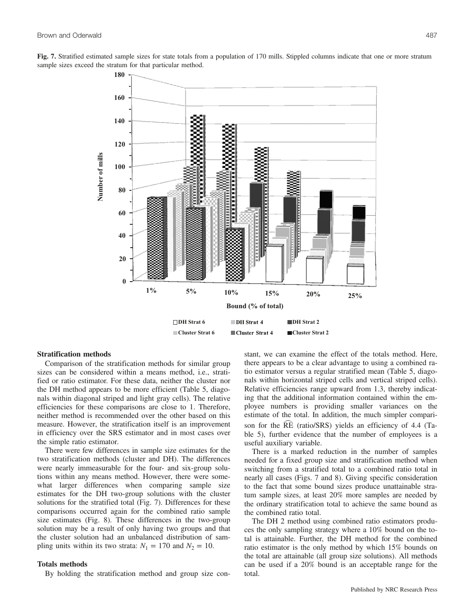Fig. 7. Stratified estimated sample sizes for state totals from a population of 170 mills. Stippled columns indicate that one or more stratum sample sizes exceed the stratum for that particular method.



## Stratification methods

Comparison of the stratification methods for similar group sizes can be considered within a means method, i.e., stratified or ratio estimator. For these data, neither the cluster nor the DH method appears to be more efficient (Table 5, diagonals within diagonal striped and light gray cells). The relative efficiencies for these comparisons are close to 1. Therefore, neither method is recommended over the other based on this measure. However, the stratification itself is an improvement in efficiency over the SRS estimator and in most cases over the simple ratio estimator.

There were few differences in sample size estimates for the two stratification methods (cluster and DH). The differences were nearly immeasurable for the four- and six-group solutions within any means method. However, there were somewhat larger differences when comparing sample size estimates for the DH two-group solutions with the cluster solutions for the stratified total (Fig. 7). Differences for these comparisons occurred again for the combined ratio sample size estimates (Fig. 8). These differences in the two-group solution may be a result of only having two groups and that the cluster solution had an unbalanced distribution of sampling units within its two strata:  $N_1 = 170$  and  $N_2 = 10$ .

## Totals methods

By holding the stratification method and group size con-

stant, we can examine the effect of the totals method. Here, there appears to be a clear advantage to using a combined ratio estimator versus a regular stratified mean (Table 5, diagonals within horizontal striped cells and vertical striped cells). Relative efficiencies range upward from 1.3, thereby indicating that the additional information contained within the employee numbers is providing smaller variances on the estimate of the total. In addition, the much simpler comparison for the RE (ratio/SRS) yields an efficiency of 4.4 (Table 5), further evidence that the number of employees is a useful auxiliary variable.

There is a marked reduction in the number of samples needed for a fixed group size and stratification method when switching from a stratified total to a combined ratio total in nearly all cases (Figs. 7 and 8). Giving specific consideration to the fact that some bound sizes produce unattainable stratum sample sizes, at least 20% more samples are needed by the ordinary stratification total to achieve the same bound as the combined ratio total.

The DH 2 method using combined ratio estimators produces the only sampling strategy where a 10% bound on the total is attainable. Further, the DH method for the combined ratio estimator is the only method by which 15% bounds on the total are attainable (all group size solutions). All methods can be used if a 20% bound is an acceptable range for the total.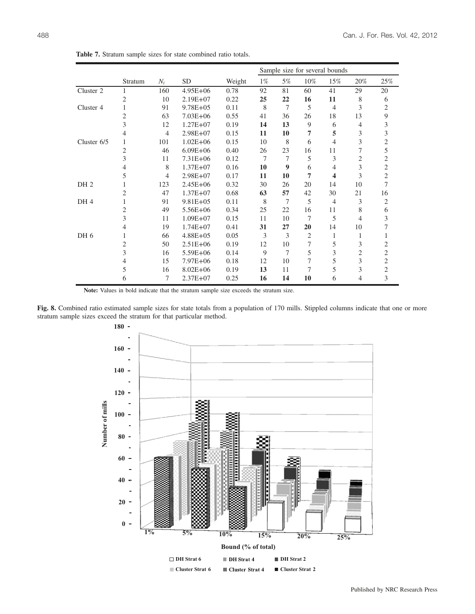|                 |                |                |              |        |       |    |                | Sample size for several bounds |     |                                                                                                                                                                                              |
|-----------------|----------------|----------------|--------------|--------|-------|----|----------------|--------------------------------|-----|----------------------------------------------------------------------------------------------------------------------------------------------------------------------------------------------|
|                 | Stratum        | $N_i$          | <b>SD</b>    | Weight | $1\%$ | 5% | 10%            | 15%                            | 20% | 25%                                                                                                                                                                                          |
| Cluster 2       | 1              | 160            | $4.95E + 06$ | 0.78   | 92    | 81 | 60             | 41                             | 29  | 20                                                                                                                                                                                           |
|                 | $\overline{2}$ | 10             | $2.19E + 07$ | 0.22   | 25    | 22 | 16             | 11                             | 8   | 6                                                                                                                                                                                            |
| Cluster 4       | 1              | 91             | $9.78E + 05$ | 0.11   | 8     | 7  | 5              | 4                              | 3   | 2                                                                                                                                                                                            |
|                 | 2              | 63             | $7.03E + 06$ | 0.55   | 41    | 36 | 26             | 18                             | 13  | 9                                                                                                                                                                                            |
|                 | 3              | 12             | $1.27E + 07$ | 0.19   | 14    | 13 | 9              | 6                              | 4   | 3                                                                                                                                                                                            |
|                 | 4              | $\overline{4}$ | $2.98E + 07$ | 0.15   | 11    | 10 | 7              | 5                              | 3   | 3<br>3<br>2<br>7<br>5<br>2<br>2<br>3<br>2<br>3<br>2<br>7<br>10<br>21<br>16<br>3<br>2<br>8<br>6<br>3<br>4<br>10<br>7<br>1<br>1<br>3<br>2<br>2<br>2<br>3<br>$\overline{2}$<br>3<br>2<br>3<br>4 |
| Cluster 6/5     |                | 101            | $1.02E + 06$ | 0.15   | 10    | 8  | 6              | 4                              |     |                                                                                                                                                                                              |
|                 | $\overline{c}$ | 46             | $6.09E + 06$ | 0.40   | 26    | 23 | 16             | 11                             |     |                                                                                                                                                                                              |
|                 | 3              | 11             | $7.31E + 06$ | 0.12   | 7     | 7  | 5              | 3                              |     |                                                                                                                                                                                              |
|                 | 4              | 8              | $1.37E + 07$ | 0.16   | 10    | 9  | 6              | 4                              |     |                                                                                                                                                                                              |
|                 | 5              | 4              | $2.98E + 07$ | 0.17   | 11    | 10 | 7              | 4                              |     |                                                                                                                                                                                              |
| DH <sub>2</sub> |                | 123            | $2.45E + 06$ | 0.32   | 30    | 26 | 20             | 14                             |     |                                                                                                                                                                                              |
|                 | 2              | 47             | $1.37E + 07$ | 0.68   | 63    | 57 | 42             | 30                             |     |                                                                                                                                                                                              |
| DH <sub>4</sub> | 1              | 91             | $9.81E + 05$ | 0.11   | 8     | 7  | 5              | 4                              |     |                                                                                                                                                                                              |
|                 | 2              | 49             | $5.56E + 06$ | 0.34   | 25    | 22 | 16             | 11                             |     |                                                                                                                                                                                              |
|                 | 3              | 11             | $1.09E + 07$ | 0.15   | 11    | 10 | 7              | 5                              |     |                                                                                                                                                                                              |
|                 | 4              | 19             | $1.74E + 07$ | 0.41   | 31    | 27 | 20             | 14                             |     |                                                                                                                                                                                              |
| DH 6            |                | 66             | $4.88E + 05$ | 0.05   | 3     | 3  | $\overline{c}$ | 1                              |     |                                                                                                                                                                                              |
|                 | $\overline{2}$ | 50             | $2.51E + 06$ | 0.19   | 12    | 10 | 7              | 5                              |     |                                                                                                                                                                                              |
|                 | 3              | 16             | 5.59E+06     | 0.14   | 9     | 7  | 5              | 3                              |     |                                                                                                                                                                                              |
|                 | 4              | 15             | $7.97E + 06$ | 0.18   | 12    | 10 | 7              | 5                              |     |                                                                                                                                                                                              |
|                 | 5              | 16             | $8.02E + 06$ | 0.19   | 13    | 11 | 7              | 5                              |     |                                                                                                                                                                                              |
|                 | 6              | 7              | $2.37E + 07$ | 0.25   | 16    | 14 | 10             | 6                              |     |                                                                                                                                                                                              |

Table 7. Stratum sample sizes for state combined ratio totals.

Note: Values in bold indicate that the stratum sample size exceeds the stratum size.